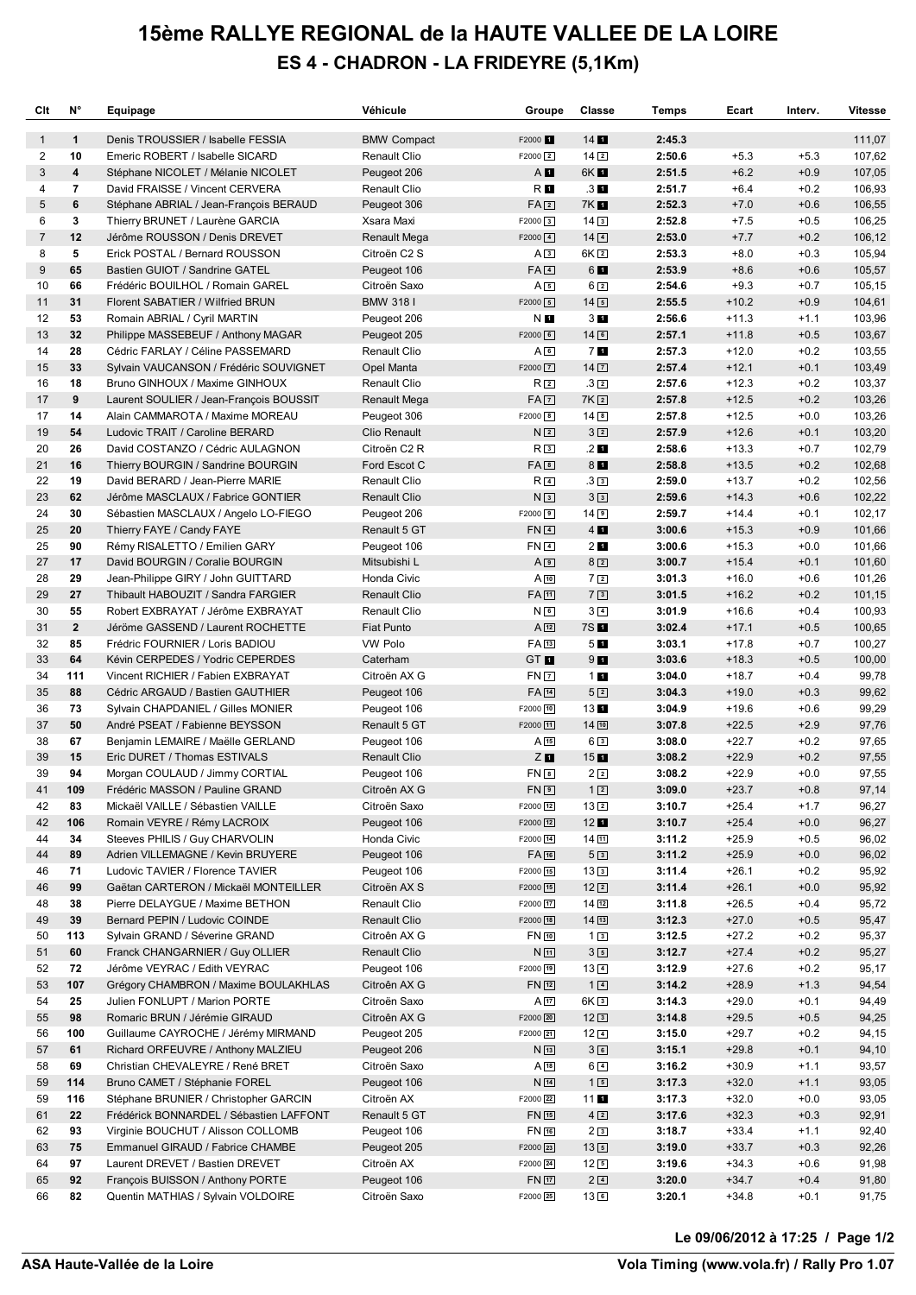## **15ème RALLYE REGIONAL de la HAUTE VALLEE DE LA LOIRE ES 4 - CHADRON - LA FRIDEYRE (5,1Km)**

| Clt          | N°                       | Equipage                                                            | Véhicule                            | Groupe                   | Classe                        | Temps            | Ecart              | Interv.          | <b>Vitesse</b> |
|--------------|--------------------------|---------------------------------------------------------------------|-------------------------------------|--------------------------|-------------------------------|------------------|--------------------|------------------|----------------|
| $\mathbf{1}$ | $\mathbf{1}$             | Denis TROUSSIER / Isabelle FESSIA                                   | <b>BMW Compact</b>                  | F2000 <sup>1</sup>       | $14$ $\blacksquare$           | 2:45.3           |                    |                  | 111,07         |
| 2            | 10                       | Emeric ROBERT / Isabelle SICARD                                     | Renault Clio                        | $F2000$ <sup>2</sup>     | $14\sqrt{2}$                  | 2:50.6           | $+5.3$             | $+5.3$           | 107,62         |
| 3            | 4                        | Stéphane NICOLET / Mélanie NICOLET                                  | Peugeot 206                         | A <b>II</b>              | 6K <b>1</b>                   | 2:51.5           | $+6.2$             | $+0.9$           | 107,05         |
| 4            | $\overline{\phantom{a}}$ | David FRAISSE / Vincent CERVERA                                     | Renault Clio                        | R <b>I</b>               | $3\blacksquare$               | 2:51.7           | $+6.4$             | $+0.2$           | 106,93         |
| 5            | 6                        | Stéphane ABRIAL / Jean-François BERAUD                              | Peugeot 306                         | FA2                      | 7K <b>11</b>                  | 2:52.3           | $+7.0$             | $+0.6$           | 106,55         |
| 6            | 3                        | Thierry BRUNET / Laurène GARCIA                                     | Xsara Maxi                          | $F2000$ 3                | $14\sqrt{3}$                  | 2:52.8           | $+7.5$             | $+0.5$           | 106,25         |
| 7            | 12                       | Jérôme ROUSSON / Denis DREVET                                       | <b>Renault Mega</b>                 | $F2000$ $4$              | $14\sqrt{4}$                  | 2:53.0           | $+7.7$             | $+0.2$           | 106,12         |
| 8            | 5                        | Erick POSTAL / Bernard ROUSSON                                      | Citroën C2 S                        | A <sup>3</sup>           | 6K <sub>2</sub>               | 2:53.3           | $+8.0$             | $+0.3$           | 105,94         |
| 9            | 65                       | Bastien GUIOT / Sandrine GATEL                                      | Peugeot 106                         | $FA$ $4$                 | 6 <b>L</b>                    | 2:53.9           | $+8.6$             | $+0.6$           | 105,57         |
| 10           | 66                       | Frédéric BOUILHOL / Romain GAREL                                    | Citroën Saxo                        | A5                       | $6\sqrt{2}$                   | 2:54.6           | $+9.3$             | $+0.7$           | 105,15         |
| 11           | 31                       | Florent SABATIER / Wilfried BRUN                                    | <b>BMW 3181</b>                     | $F2000$ 5                | $14\sqrt{5}$                  | 2:55.5           | $+10.2$            | $+0.9$           | 104,61         |
| 12           | 53                       | Romain ABRIAL / Cyril MARTIN                                        | Peugeot 206                         | N <b>E</b>               | 3 <sub>II</sub>               | 2:56.6           | $+11.3$            | $+1.1$           | 103,96         |
| 13           | 32                       | Philippe MASSEBEUF / Anthony MAGAR                                  | Peugeot 205                         | $F2000$ 6                | $14$ 6                        | 2:57.1           | $+11.8$            | $+0.5$           | 103,67         |
| 14           | 28                       | Cédric FARLAY / Céline PASSEMARD                                    | Renault Clio                        | $A \Box$                 | <b>70</b>                     | 2:57.3           | $+12.0$            | $+0.2$           | 103,55         |
| 15           | 33                       | Sylvain VAUCANSON / Frédéric SOUVIGNET                              | Opel Manta                          | $F2000$ $\boxed{7}$      | $14\sqrt{7}$                  | 2:57.4           | $+12.1$            | $+0.1$           | 103,49         |
| 16           | 18                       | Bruno GINHOUX / Maxime GINHOUX                                      | Renault Clio                        | R2                       | $.3\sqrt{2}$                  | 2:57.6           | $+12.3$            | $+0.2$           | 103,37         |
| 17           | 9                        | Laurent SOULIER / Jean-François BOUSSIT                             | <b>Renault Mega</b>                 | FA <sub>2</sub>          | 7K <sub>2</sub>               | 2:57.8           | $+12.5$            | $+0.2$           | 103,26         |
| 17           | 14                       | Alain CAMMAROTA / Maxime MOREAU                                     | Peugeot 306                         | F2000 <sup>[8]</sup>     | $14$ $\boxed{8}$              | 2:57.8           | $+12.5$            | $+0.0$           | 103,26         |
| 19           | 54                       | Ludovic TRAIT / Caroline BERARD                                     | Clio Renault                        | N <sub>2</sub>           | 32                            | 2:57.9           | $+12.6$            | $+0.1$           | 103,20         |
| 20           | 26                       | David COSTANZO / Cédric AULAGNON                                    | Citroën C2 R                        | R <sub>3</sub>           | $.2$ $\blacksquare$           | 2:58.6           | $+13.3$            | $+0.7$           | 102,79         |
| 21           | 16                       | Thierry BOURGIN / Sandrine BOURGIN                                  | Ford Escot C                        | $FA$ $B$                 | 8 <sub>1</sub>                | 2:58.8           | $+13.5$            | $+0.2$           | 102,68         |
| 22           | 19                       | David BERARD / Jean-Pierre MARIE                                    | Renault Clio                        | R <sub>4</sub>           | $.3\sqrt{3}$                  | 2:59.0           | $+13.7$            | $+0.2$           | 102,56         |
| 23           | 62                       | Jérôme MASCLAUX / Fabrice GONTIER                                   | <b>Renault Clio</b>                 | N <sub>3</sub>           | 3 <sup>3</sup>                | 2:59.6           | $+14.3$            | $+0.6$           | 102,22         |
| 24           | 30                       | Sébastien MASCLAUX / Angelo LO-FIEGO                                | Peugeot 206                         | F2000 9                  | $14$ 9                        | 2:59.7           | $+14.4$            | $+0.1$           | 102,17         |
| 25           | 20                       | Thierry FAYE / Candy FAYE                                           | Renault 5 GT                        | $FN$ $4$                 | $4$ $\blacksquare$            | 3:00.6           | $+15.3$            | $+0.9$           | 101,66         |
| 25           | 90                       | Rémy RISALETTO / Emilien GARY                                       | Peugeot 106                         | $FN$ <sup>4</sup>        | 2 <sub>1</sub>                | 3:00.6           | $+15.3$            | $+0.0$           | 101,66         |
| 27           | 17                       | David BOURGIN / Coralie BOURGIN                                     | Mitsubishi L                        | A <sub>9</sub>           | $8\sqrt{2}$                   | 3:00.7           | $+15.4$            | $+0.1$           | 101,60         |
| 28           | 29                       | Jean-Philippe GIRY / John GUITTARD                                  | Honda Civic                         | $A$ $\overline{10}$      | 72                            | 3:01.3           | $+16.0$            | $+0.6$           | 101,26         |
| 29           | 27                       | Thibault HABOUZIT / Sandra FARGIER                                  | <b>Renault Clio</b>                 | <b>FA</b> <sub>[1]</sub> | 73                            | 3:01.5           | $+16.2$            | $+0.2$           | 101,15         |
| 30           | 55                       | Robert EXBRAYAT / Jérôme EXBRAYAT                                   | <b>Renault Clio</b>                 | $N$ $6$                  | $3\sqrt{4}$                   | 3:01.9           | $+16.6$            | $+0.4$           | 100,93         |
| 31           | $\overline{2}$           | Jéröme GASSEND / Laurent ROCHETTE                                   | <b>Fiat Punto</b>                   | $A$ <sup>12</sup>        | 7S <b>1</b>                   | 3:02.4           | $+17.1$            | $+0.5$           | 100,65         |
| 32           | 85                       | Frédric FOURNIER / Loris BADIOU                                     | VW Polo                             | FA 13                    | 5 <sub>1</sub>                | 3:03.1           | $+17.8$            | $+0.7$           | 100,27         |
| 33           | 64                       | Kévin CERPEDES / Yodric CEPERDES                                    | Caterham                            | GT <b>II</b>             | $9$ $\blacksquare$            | 3:03.6           | $+18.3$            | $+0.5$           | 100,00         |
| 34           | 111                      | Vincent RICHIER / Fabien EXBRAYAT                                   | Citroën AX G                        | $FN$ $\Box$              | 11                            | 3:04.0           | $+18.7$            | $+0.4$           | 99,78          |
| 35           | 88                       | Cédric ARGAUD / Bastien GAUTHIER                                    | Peugeot 106                         | FA 14                    | 52                            | 3:04.3           | $+19.0$            | $+0.3$           | 99,62          |
| 36           | 73                       | Sylvain CHAPDANIEL / Gilles MONIER                                  | Peugeot 106                         | F2000 10                 | 13L                           | 3:04.9           | $+19.6$            | $+0.6$           | 99,29          |
| 37           | 50                       | André PSEAT / Fabienne BEYSSON                                      | Renault 5 GT                        | F2000 11                 | 1410                          | 3:07.8           | $+22.5$            | $+2.9$           | 97,76          |
| 38           | 67                       | Benjamin LEMAIRE / Maëlle GERLAND                                   | Peugeot 106                         | A15                      | 63                            | 3:08.0           | $+22.7$            | $+0.2$           | 97,65          |
| 39           | 15                       | Eric DURET / Thomas ESTIVALS                                        | <b>Renault Clio</b>                 | $Z$ <b>N</b>             | $15$ $\blacksquare$           | 3:08.2           | $+22.9$            | $+0.2$           | 97,55          |
| 39           | 94                       | Morgan COULAUD / Jimmy CORTIAL                                      | Peugeot 106                         | $FN$ $\Box$              | 22                            | 3:08.2           | $+22.9$            | $+0.0$           | 97,55          |
| 41           | 109                      | Frédéric MASSON / Pauline GRAND                                     | Citroên AX G                        | FN [9]                   | 12                            | 3:09.0           | $+23.7$            | $+0.8$           | 97,14          |
| 42           | 83                       | Mickaël VAILLE / Sébastien VAILLE                                   | Citroën Saxo                        | F2000 12                 | 13 <sub>2</sub>               | 3:10.7           | $+25.4$            | $+1.7$           | 96,27          |
| 42           | 106                      | Romain VEYRE / Rémy LACROIX                                         | Peugeot 106                         | F2000 12                 | $12$ $\blacksquare$           | 3:10.7           | $+25.4$            | $+0.0$           | 96,27          |
| 44           | 34                       | Steeves PHILIS / Guy CHARVOLIN                                      | Honda Civic                         | F2000 14                 | 14 団                          | 3:11.2           | $+25.9$            | $+0.5$           | 96,02          |
| 44           | 89                       | Adrien VILLEMAGNE / Kevin BRUYERE                                   | Peugeot 106                         | <b>FA</b> 16             | 5 <sup>3</sup>                | 3:11.2           | $+25.9$            | $+0.0$           | 96,02          |
| 46           | 71                       | Ludovic TAVIER / Florence TAVIER                                    | Peugeot 106                         | F2000 15                 | 133                           | 3:11.4           | $+26.1$            | $+0.2$           | 95,92          |
| 46           | 99                       | Gaëtan CARTERON / Mickaël MONTEILLER                                | Citroën AX S                        | F2000 15                 | $12\sqrt{2}$                  | 3:11.4           | $+26.1$            | $+0.0$           | 95,92          |
| 48           | 38                       | Pierre DELAYGUE / Maxime BETHON                                     | Renault Clio                        | F2000 17<br>F2000 18     | $14 \overline{12}$            | 3:11.8           | $+26.5$            | $+0.4$<br>$+0.5$ | 95,72          |
| 49           | 39                       | Bernard PEPIN / Ludovic COINDE                                      | <b>Renault Clio</b><br>Citroên AX G |                          | 14[13]                        | 3:12.3           | $+27.0$            |                  | 95,47          |
| 50           | 113<br>60                | Sylvain GRAND / Séverine GRAND<br>Franck CHANGARNIER / Guy OLLIER   |                                     | FN 回<br>N <sub>11</sub>  | $1\sqrt{3}$<br>3 <sup>5</sup> | 3:12.5<br>3:12.7 | $+27.2$            | $+0.2$<br>$+0.2$ | 95,37          |
| 51<br>52     | 72                       | Jérôme VEYRAC / Edith VEYRAC                                        | <b>Renault Clio</b><br>Peugeot 106  | F2000 19                 | $13\sqrt{4}$                  | 3:12.9           | $+27.4$<br>$+27.6$ | $+0.2$           | 95,27<br>95,17 |
| 53           | 107                      | Grégory CHAMBRON / Maxime BOULAKHLAS                                | Citroên AX G                        | FN 12                    | $1\vert 4$                    | 3:14.2           | $+28.9$            | $+1.3$           | 94,54          |
| 54           | 25                       | Julien FONLUPT / Marion PORTE                                       | Citroën Saxo                        | $A$ 17                   | 6K <sub>3</sub>               | 3:14.3           | $+29.0$            | $+0.1$           | 94,49          |
| 55           | 98                       | Romaric BRUN / Jérémie GIRAUD                                       | Citroên AX G                        | F2000 20                 |                               |                  |                    | $+0.5$           |                |
|              | 100                      | Guillaume CAYROCHE / Jérémy MIRMAND                                 | Peugeot 205                         | F2000 21                 | $12\sqrt{3}$<br>$12\sqrt{4}$  | 3:14.8<br>3:15.0 | $+29.5$<br>$+29.7$ | $+0.2$           | 94,25          |
| 56<br>57     | 61                       | Richard ORFEUVRE / Anthony MALZIEU                                  |                                     |                          | 36                            | 3:15.1           | $+29.8$            | $+0.1$           | 94,15          |
| 58           | 69                       | Christian CHEVALEYRE / René BRET                                    | Peugeot 206<br>Citroën Saxo         | $N_{13}$<br>A18          | $6\sqrt{4}$                   | 3:16.2           | $+30.9$            | $+1.1$           | 94,10<br>93,57 |
| 59           | 114                      | Bruno CAMET / Stéphanie FOREL                                       | Peugeot 106                         | $N_{14}$                 | 15                            | 3:17.3           | $+32.0$            | $+1.1$           | 93,05          |
|              | 116                      |                                                                     | Citroën AX                          |                          |                               | 3:17.3           | $+32.0$            | $+0.0$           |                |
| 59           |                          | Stéphane BRUNIER / Christopher GARCIN                               |                                     | F2000 22                 | $11$ $\blacksquare$           |                  |                    |                  | 93,05          |
| 61<br>62     | 22                       | Frédérick BONNARDEL / Sébastien LAFFONT                             | Renault 5 GT                        | FN 15                    | $4\sqrt{2}$                   | 3:17.6           | $+32.3$            | $+0.3$           | 92,91          |
|              | 93<br>75                 | Virginie BOUCHUT / Alisson COLLOMB                                  | Peugeot 106                         | FN 16                    | 23<br>$13\sqrt{5}$            | 3:18.7           | $+33.4$            | $+1.1$           | 92,40          |
| 63<br>64     | 97                       | Emmanuel GIRAUD / Fabrice CHAMBE<br>Laurent DREVET / Bastien DREVET | Peugeot 205<br>Citroën AX           | F2000 23<br>F2000 24     | 12 <sub>5</sub>               | 3:19.0<br>3:19.6 | $+33.7$<br>$+34.3$ | $+0.3$<br>$+0.6$ | 92,26<br>91,98 |
| 65           | 92                       | François BUISSON / Anthony PORTE                                    | Peugeot 106                         | $FN$ $\boxed{17}$        | $2\sqrt{4}$                   | 3:20.0           | $+34.7$            | $+0.4$           | 91,80          |
| 66           | 82                       |                                                                     | Citroën Saxo                        | F2000 25                 | 13E                           | 3:20.1           | $+34.8$            | $+0.1$           | 91,75          |
|              |                          | Quentin MATHIAS / Sylvain VOLDOIRE                                  |                                     |                          |                               |                  |                    |                  |                |

**Le 09/06/2012 à 17:25 / Page 1/2**